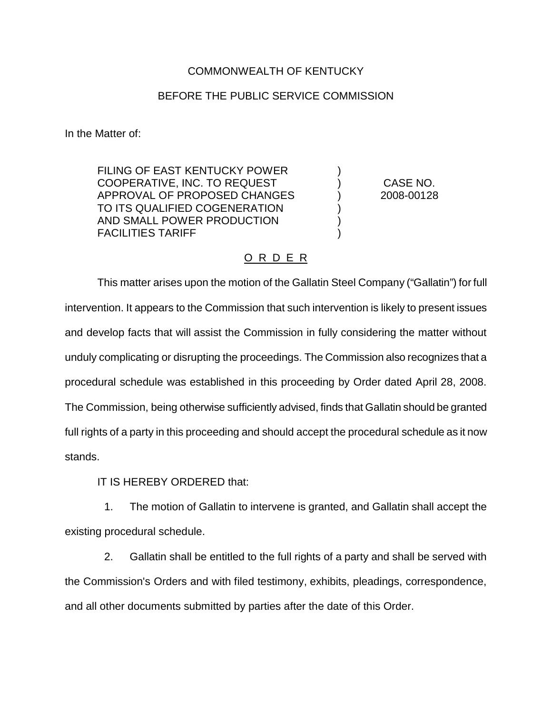## COMMONWEALTH OF KENTUCKY

## BEFORE THE PUBLIC SERVICE COMMISSION

In the Matter of:

FILING OF EAST KENTUCKY POWER COOPERATIVE, INC. TO REQUEST ) CASE NO. APPROVAL OF PROPOSED CHANGES (2008-00128 TO ITS QUALIFIED COGENERATION AND SMALL POWER PRODUCTION FACILITIES TARIFF )

## O R D E R

This matter arises upon the motion of the Gallatin Steel Company ("Gallatin") for full intervention. It appears to the Commission that such intervention is likely to present issues and develop facts that will assist the Commission in fully considering the matter without unduly complicating or disrupting the proceedings. The Commission also recognizes that a procedural schedule was established in this proceeding by Order dated April 28, 2008. The Commission, being otherwise sufficiently advised, finds that Gallatin should be granted full rights of a party in this proceeding and should accept the procedural schedule as it now stands.

IT IS HEREBY ORDERED that:

1. The motion of Gallatin to intervene is granted, and Gallatin shall accept the existing procedural schedule.

2. Gallatin shall be entitled to the full rights of a party and shall be served with the Commission's Orders and with filed testimony, exhibits, pleadings, correspondence, and all other documents submitted by parties after the date of this Order.